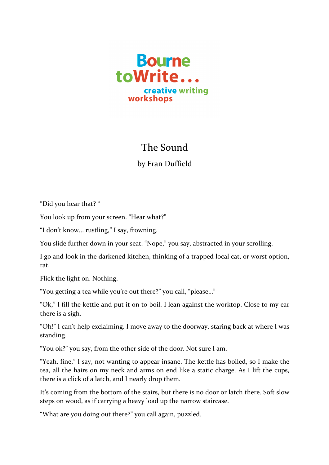

## The Sound

by Fran Duffield

"Did you hear that? "

You look up from your screen. "Hear what?"

"I don't know... rustling," I say, frowning.

You slide further down in your seat. "Nope," you say, abstracted in your scrolling.

I go and look in the darkened kitchen, thinking of a trapped local cat, or worst option, rat.

Flick the light on. Nothing.

"You getting a tea while you're out there?" you call, "please..."

"Ok," I fill the kettle and put it on to boil. I lean against the worktop. Close to my ear there is a sigh.

"Oh!" I can't help exclaiming. I move away to the doorway. staring back at where I was standing.

"You ok?" you say, from the other side of the door. Not sure I am.

"Yeah, fine," I say, not wanting to appear insane. The kettle has boiled, so I make the tea, all the hairs on my neck and arms on end like a static charge. As I lift the cups, there is a click of a latch, and I nearly drop them.

It's coming from the bottom of the stairs, but there is no door or latch there. Soft slow steps on wood, as if carrying a heavy load up the narrow staircase.

"What are you doing out there?" you call again, puzzled.